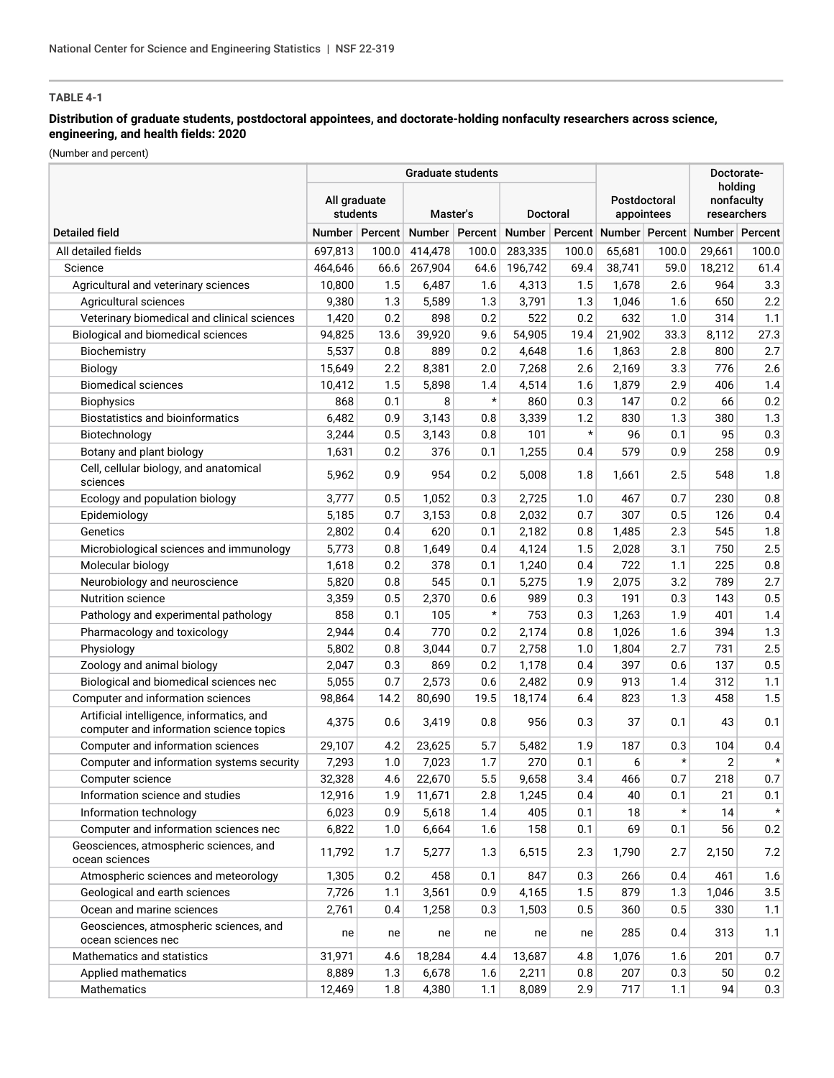## **Distribution of graduate students, postdoctoral appointees, and doctorate-holding nonfaculty researchers across science, engineering, and health fields: 2020**

(Number and percent)

| <b>Graduate students</b>                                                             |                                                         |                |                |         |         |                            |                                                        |                                      | Doctorate-     |         |
|--------------------------------------------------------------------------------------|---------------------------------------------------------|----------------|----------------|---------|---------|----------------------------|--------------------------------------------------------|--------------------------------------|----------------|---------|
|                                                                                      | All graduate<br>students<br>Master's<br><b>Doctoral</b> |                |                |         |         | Postdoctoral<br>appointees |                                                        | holdina<br>nonfaculty<br>researchers |                |         |
| <b>Detailed field</b>                                                                |                                                         | Number Percent | Number Percent |         |         |                            | Number   Percent   Number   Percent   Number   Percent |                                      |                |         |
| All detailed fields                                                                  | 697,813                                                 | 100.0          | 414,478        | 100.0   | 283,335 | 100.0                      | 65,681                                                 | 100.0                                | 29,661         | 100.0   |
| Science                                                                              | 464,646                                                 | 66.6           | 267,904        | 64.6    | 196,742 | 69.4                       | 38,741                                                 | 59.0                                 | 18,212         | 61.4    |
| Agricultural and veterinary sciences                                                 | 10,800                                                  | 1.5            | 6,487          | 1.6     | 4,313   | 1.5                        | 1,678                                                  | 2.6                                  | 964            | 3.3     |
| Agricultural sciences                                                                | 9,380                                                   | 1.3            | 5,589          | 1.3     | 3,791   | 1.3                        | 1,046                                                  | 1.6                                  | 650            | 2.2     |
| Veterinary biomedical and clinical sciences                                          | 1,420                                                   | 0.2            | 898            | 0.2     | 522     | 0.2                        | 632                                                    | 1.0                                  | 314            | 1.1     |
| Biological and biomedical sciences                                                   | 94,825                                                  | 13.6           | 39,920         | 9.6     | 54,905  | 19.4                       | 21,902                                                 | 33.3                                 | 8,112          | 27.3    |
| Biochemistry                                                                         | 5,537                                                   | 0.8            | 889            | 0.2     | 4,648   | 1.6                        | 1,863                                                  | 2.8                                  | 800            | 2.7     |
| Biology                                                                              | 15,649                                                  | 2.2            | 8,381          | 2.0     | 7,268   | 2.6                        | 2,169                                                  | 3.3                                  | 776            | 2.6     |
| <b>Biomedical sciences</b>                                                           | 10,412                                                  | 1.5            | 5,898          | 1.4     | 4,514   | 1.6                        | 1,879                                                  | 2.9                                  | 406            | 1.4     |
| <b>Biophysics</b>                                                                    | 868                                                     | 0.1            | 8              | $\star$ | 860     | 0.3                        | 147                                                    | 0.2                                  | 66             | 0.2     |
| Biostatistics and bioinformatics                                                     | 6,482                                                   | 0.9            | 3,143          | 0.8     | 3,339   | 1.2                        | 830                                                    | 1.3                                  | 380            | 1.3     |
| Biotechnology                                                                        | 3,244                                                   | 0.5            | 3,143          | 0.8     | 101     | $\star$                    | 96                                                     | 0.1                                  | 95             | 0.3     |
| Botany and plant biology                                                             | 1,631                                                   | 0.2            | 376            | 0.1     | 1,255   | 0.4                        | 579                                                    | 0.9                                  | 258            | 0.9     |
| Cell, cellular biology, and anatomical<br>sciences                                   | 5,962                                                   | 0.9            | 954            | 0.2     | 5,008   | 1.8                        | 1,661                                                  | 2.5                                  | 548            | 1.8     |
| Ecology and population biology                                                       | 3,777                                                   | 0.5            | 1,052          | 0.3     | 2,725   | 1.0                        | 467                                                    | 0.7                                  | 230            | $0.8\,$ |
| Epidemiology                                                                         | 5,185                                                   | 0.7            | 3,153          | 0.8     | 2,032   | 0.7                        | 307                                                    | 0.5                                  | 126            | 0.4     |
| Genetics                                                                             | 2,802                                                   | 0.4            | 620            | 0.1     | 2,182   | 0.8                        | 1,485                                                  | 2.3                                  | 545            | 1.8     |
| Microbiological sciences and immunology                                              | 5,773                                                   | 0.8            | 1,649          | 0.4     | 4,124   | 1.5                        | 2,028                                                  | 3.1                                  | 750            | 2.5     |
| Molecular biology                                                                    | 1,618                                                   | 0.2            | 378            | 0.1     | 1,240   | 0.4                        | 722                                                    | 1.1                                  | 225            | $0.8\,$ |
| Neurobiology and neuroscience                                                        | 5,820                                                   | 0.8            | 545            | 0.1     | 5,275   | 1.9                        | 2,075                                                  | 3.2                                  | 789            | 2.7     |
| Nutrition science                                                                    | 3,359                                                   | 0.5            | 2,370          | 0.6     | 989     | 0.3                        | 191                                                    | 0.3                                  | 143            | 0.5     |
| Pathology and experimental pathology                                                 | 858                                                     | 0.1            | 105            | $\star$ | 753     | 0.3                        | 1,263                                                  | 1.9                                  | 401            | 1.4     |
| Pharmacology and toxicology                                                          | 2,944                                                   | 0.4            | 770            | 0.2     | 2,174   | 0.8                        | 1,026                                                  | 1.6                                  | 394            | 1.3     |
| Physiology                                                                           | 5,802                                                   | 0.8            | 3,044          | 0.7     | 2,758   | 1.0                        | 1,804                                                  | 2.7                                  | 731            | 2.5     |
| Zoology and animal biology                                                           | 2,047                                                   | 0.3            | 869            | 0.2     | 1,178   | 0.4                        | 397                                                    | 0.6                                  | 137            | 0.5     |
| Biological and biomedical sciences nec                                               | 5,055                                                   | 0.7            | 2,573          | 0.6     | 2,482   | 0.9                        | 913                                                    | 1.4                                  | 312            | 1.1     |
| Computer and information sciences                                                    | 98,864                                                  | 14.2           | 80,690         | 19.5    | 18,174  | 6.4                        | 823                                                    | 1.3                                  | 458            | 1.5     |
| Artificial intelligence, informatics, and<br>computer and information science topics | 4,375                                                   | 0.6            | 3,419          | 0.8     | 956     | 0.3                        | 37                                                     | 0.1                                  | 43             | 0.1     |
| Computer and information sciences                                                    | 29,107                                                  | 4.2            | 23,625         | 5.7     | 5,482   | 1.9                        | 187                                                    | 0.3                                  | 104            | 0.4     |
| Computer and information systems security                                            | 7,293                                                   | 1.0            | 7,023          | 1.7     | 270     | 0.1                        | 6                                                      | $^\star$                             | $\overline{2}$ | $\star$ |
| Computer science                                                                     | 32,328                                                  | 4.6            | 22,670         | 5.5     | 9,658   | 3.4                        | 466                                                    | 0.7                                  | 218            | 0.7     |
| Information science and studies                                                      | 12,916                                                  | 1.9            | 11,671         | 2.8     | 1,245   | 0.4                        | 40                                                     | 0.1                                  | 21             | 0.1     |
| Information technology                                                               | 6,023                                                   | 0.9            | 5,618          | 1.4     | 405     | 0.1                        | 18                                                     | $^\star$                             | 14             | $\star$ |
| Computer and information sciences nec                                                | 6,822                                                   | 1.0            | 6,664          | 1.6     | 158     | 0.1                        | 69                                                     | 0.1                                  | 56             | 0.2     |
| Geosciences, atmospheric sciences, and<br>ocean sciences                             | 11,792                                                  | 1.7            | 5,277          | 1.3     | 6,515   | 2.3                        | 1,790                                                  | 2.7                                  | 2,150          | 7.2     |
| Atmospheric sciences and meteorology                                                 | 1,305                                                   | 0.2            | 458            | 0.1     | 847     | 0.3                        | 266                                                    | 0.4                                  | 461            | 1.6     |
| Geological and earth sciences                                                        | 7,726                                                   | 1.1            | 3,561          | 0.9     | 4,165   | 1.5                        | 879                                                    | 1.3                                  | 1,046          | 3.5     |
| Ocean and marine sciences                                                            | 2,761                                                   | 0.4            | 1,258          | 0.3     | 1,503   | 0.5                        | 360                                                    | 0.5                                  | 330            | 1.1     |
| Geosciences, atmospheric sciences, and<br>ocean sciences nec                         | ne                                                      | ne             | ne             | ne      | ne      | ne                         | 285                                                    | 0.4                                  | 313            | 1.1     |
| Mathematics and statistics                                                           | 31,971                                                  | 4.6            | 18,284         | 4.4     | 13,687  | 4.8                        | 1,076                                                  | 1.6                                  | 201            | 0.7     |
| Applied mathematics                                                                  | 8,889                                                   | 1.3            | 6,678          | 1.6     | 2,211   | 0.8                        | 207                                                    | 0.3                                  | 50             | 0.2     |
| Mathematics                                                                          | 12,469                                                  | 1.8            | 4,380          | 1.1     | 8,089   | 2.9                        | 717                                                    | 1.1                                  | 94             | 0.3     |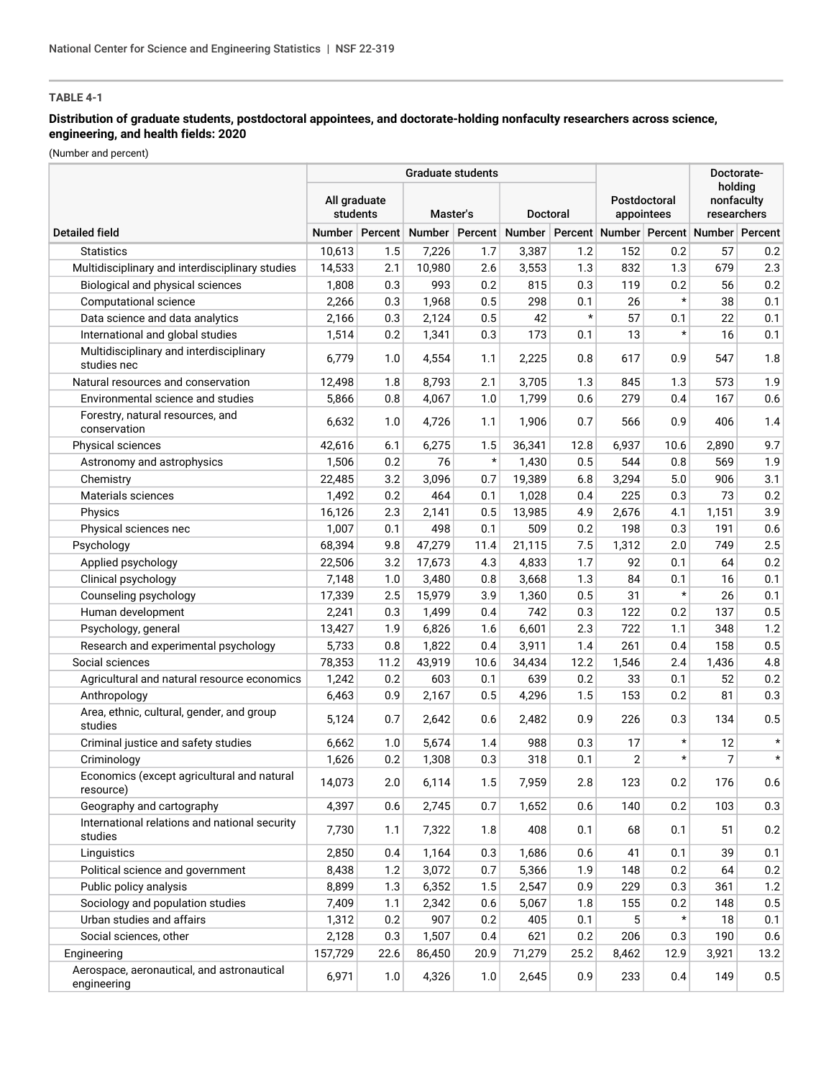## **Distribution of graduate students, postdoctoral appointees, and doctorate-holding nonfaculty researchers across science, engineering, and health fields: 2020**

(Number and percent)

|                                                           |                                                  |                | <b>Graduate students</b> |         |                                                                           | Doctorate- |       |                            |                                      |         |
|-----------------------------------------------------------|--------------------------------------------------|----------------|--------------------------|---------|---------------------------------------------------------------------------|------------|-------|----------------------------|--------------------------------------|---------|
|                                                           | All graduate<br>students<br>Master's<br>Doctoral |                |                          |         |                                                                           |            |       | Postdoctoral<br>appointees | holding<br>nonfaculty<br>researchers |         |
| <b>Detailed field</b>                                     |                                                  | Number Percent |                          |         | Number   Percent   Number   Percent   Number   Percent   Number   Percent |            |       |                            |                                      |         |
| <b>Statistics</b>                                         | 10,613                                           | 1.5            | 7,226                    | 1.7     | 3,387                                                                     | 1.2        | 152   | 0.2                        | 57                                   | 0.2     |
| Multidisciplinary and interdisciplinary studies           | 14,533                                           | 2.1            | 10,980                   | 2.6     | 3,553                                                                     | 1.3        | 832   | 1.3                        | 679                                  | 2.3     |
| Biological and physical sciences                          | 1,808                                            | 0.3            | 993                      | 0.2     | 815                                                                       | 0.3        | 119   | 0.2                        | 56                                   | 0.2     |
| Computational science                                     | 2,266                                            | 0.3            | 1,968                    | 0.5     | 298                                                                       | 0.1        | 26    | $\star$                    | 38                                   | 0.1     |
| Data science and data analytics                           | 2,166                                            | 0.3            | 2,124                    | 0.5     | 42                                                                        | $\star$    | 57    | 0.1                        | 22                                   | 0.1     |
| International and global studies                          | 1,514                                            | 0.2            | 1,341                    | 0.3     | 173                                                                       | 0.1        | 13    | $^\star$                   | 16                                   | 0.1     |
| Multidisciplinary and interdisciplinary<br>studies nec    | 6,779                                            | 1.0            | 4,554                    | 1.1     | 2,225                                                                     | 0.8        | 617   | 0.9                        | 547                                  | 1.8     |
| Natural resources and conservation                        | 12,498                                           | 1.8            | 8,793                    | 2.1     | 3,705                                                                     | 1.3        | 845   | 1.3                        | 573                                  | 1.9     |
| Environmental science and studies                         | 5,866                                            | 0.8            | 4,067                    | 1.0     | 1,799                                                                     | 0.6        | 279   | 0.4                        | 167                                  | 0.6     |
| Forestry, natural resources, and<br>conservation          | 6,632                                            | 1.0            | 4,726                    | 1.1     | 1,906                                                                     | 0.7        | 566   | 0.9                        | 406                                  | 1.4     |
| Physical sciences                                         | 42,616                                           | 6.1            | 6,275                    | 1.5     | 36.341                                                                    | 12.8       | 6,937 | 10.6                       | 2,890                                | 9.7     |
| Astronomy and astrophysics                                | 1,506                                            | 0.2            | 76                       | $\star$ | 1,430                                                                     | 0.5        | 544   | 0.8                        | 569                                  | 1.9     |
| Chemistry                                                 | 22,485                                           | 3.2            | 3,096                    | 0.7     | 19,389                                                                    | 6.8        | 3,294 | 5.0                        | 906                                  | 3.1     |
| Materials sciences                                        | 1,492                                            | 0.2            | 464                      | 0.1     | 1,028                                                                     | 0.4        | 225   | 0.3                        | 73                                   | 0.2     |
| Physics                                                   | 16,126                                           | 2.3            | 2,141                    | 0.5     | 13,985                                                                    | 4.9        | 2,676 | 4.1                        | 1,151                                | 3.9     |
| Physical sciences nec                                     | 1,007                                            | 0.1            | 498                      | 0.1     | 509                                                                       | 0.2        | 198   | 0.3                        | 191                                  | 0.6     |
| Psychology                                                | 68,394                                           | 9.8            | 47,279                   | 11.4    | 21,115                                                                    | 7.5        | 1,312 | 2.0                        | 749                                  | 2.5     |
| Applied psychology                                        | 22,506                                           | 3.2            | 17,673                   | 4.3     | 4,833                                                                     | 1.7        | 92    | 0.1                        | 64                                   | 0.2     |
| Clinical psychology                                       | 7,148                                            | 1.0            | 3,480                    | 0.8     | 3,668                                                                     | 1.3        | 84    | 0.1                        | 16                                   | 0.1     |
| Counseling psychology                                     | 17,339                                           | 2.5            | 15,979                   | 3.9     | 1,360                                                                     | 0.5        | 31    | $^\star$                   | 26                                   | 0.1     |
| Human development                                         | 2,241                                            | 0.3            | 1,499                    | 0.4     | 742                                                                       | 0.3        | 122   | 0.2                        | 137                                  | 0.5     |
| Psychology, general                                       | 13,427                                           | 1.9            | 6,826                    | 1.6     | 6,601                                                                     | 2.3        | 722   | 1.1                        | 348                                  | 1.2     |
| Research and experimental psychology                      | 5,733                                            | 0.8            | 1,822                    | 0.4     | 3,911                                                                     | 1.4        | 261   | 0.4                        | 158                                  | 0.5     |
| Social sciences                                           | 78,353                                           | 11.2           | 43,919                   | 10.6    | 34,434                                                                    | 12.2       | 1,546 | 2.4                        | 1,436                                | 4.8     |
| Agricultural and natural resource economics               | 1,242                                            | 0.2            | 603                      | 0.1     | 639                                                                       | 0.2        | 33    | 0.1                        | 52                                   | 0.2     |
| Anthropology                                              | 6,463                                            | 0.9            | 2,167                    | 0.5     | 4,296                                                                     | 1.5        | 153   | 0.2                        | 81                                   | 0.3     |
| Area, ethnic, cultural, gender, and group<br>studies      | 5,124                                            | 0.7            | 2,642                    | 0.6     | 2,482                                                                     | 0.9        | 226   | 0.3                        | 134                                  | 0.5     |
| Criminal justice and safety studies                       | 6,662                                            | 1.0            | 5,674                    | 1.4     | 988                                                                       | 0.3        | 17    | $\star$                    | 12                                   | $\star$ |
| Criminology                                               | 1.626                                            | 0.2            | 1,308                    | 0.3     | 318                                                                       | 0.1        | 2     | $^\star$                   | 7                                    | $\star$ |
| Economics (except agricultural and natural<br>resource)   | 14,073                                           | 2.0            | 6,114                    | 1.5     | 7,959                                                                     | 2.8        | 123   | 0.2                        | 176                                  | 0.6     |
| Geography and cartography                                 | 4,397                                            | 0.6            | 2,745                    | 0.7     | 1,652                                                                     | 0.6        | 140   | 0.2                        | 103                                  | 0.3     |
| International relations and national security<br>studies  | 7,730                                            | 1.1            | 7,322                    | 1.8     | 408                                                                       | 0.1        | 68    | 0.1                        | 51                                   | 0.2     |
| Linguistics                                               | 2,850                                            | 0.4            | 1,164                    | 0.3     | 1,686                                                                     | 0.6        | 41    | 0.1                        | 39                                   | 0.1     |
| Political science and government                          | 8,438                                            | 1.2            | 3,072                    | 0.7     | 5,366                                                                     | 1.9        | 148   | 0.2                        | 64                                   | 0.2     |
| Public policy analysis                                    | 8,899                                            | 1.3            | 6,352                    | 1.5     | 2,547                                                                     | 0.9        | 229   | 0.3                        | 361                                  | 1.2     |
| Sociology and population studies                          | 7,409                                            | 1.1            | 2,342                    | 0.6     | 5,067                                                                     | 1.8        | 155   | 0.2                        | 148                                  | 0.5     |
| Urban studies and affairs                                 | 1,312                                            | 0.2            | 907                      | 0.2     | 405                                                                       | 0.1        | 5     | $\star$                    | 18                                   | 0.1     |
| Social sciences, other                                    | 2,128                                            | 0.3            | 1,507                    | 0.4     | 621                                                                       | 0.2        | 206   | 0.3                        | 190                                  | 0.6     |
| Engineering                                               | 157,729                                          | 22.6           | 86,450                   | 20.9    | 71,279                                                                    | 25.2       | 8,462 | 12.9                       | 3,921                                | 13.2    |
| Aerospace, aeronautical, and astronautical<br>engineering | 6,971                                            | 1.0            | 4,326                    | 1.0     | 2,645                                                                     | 0.9        | 233   | 0.4                        | 149                                  | 0.5     |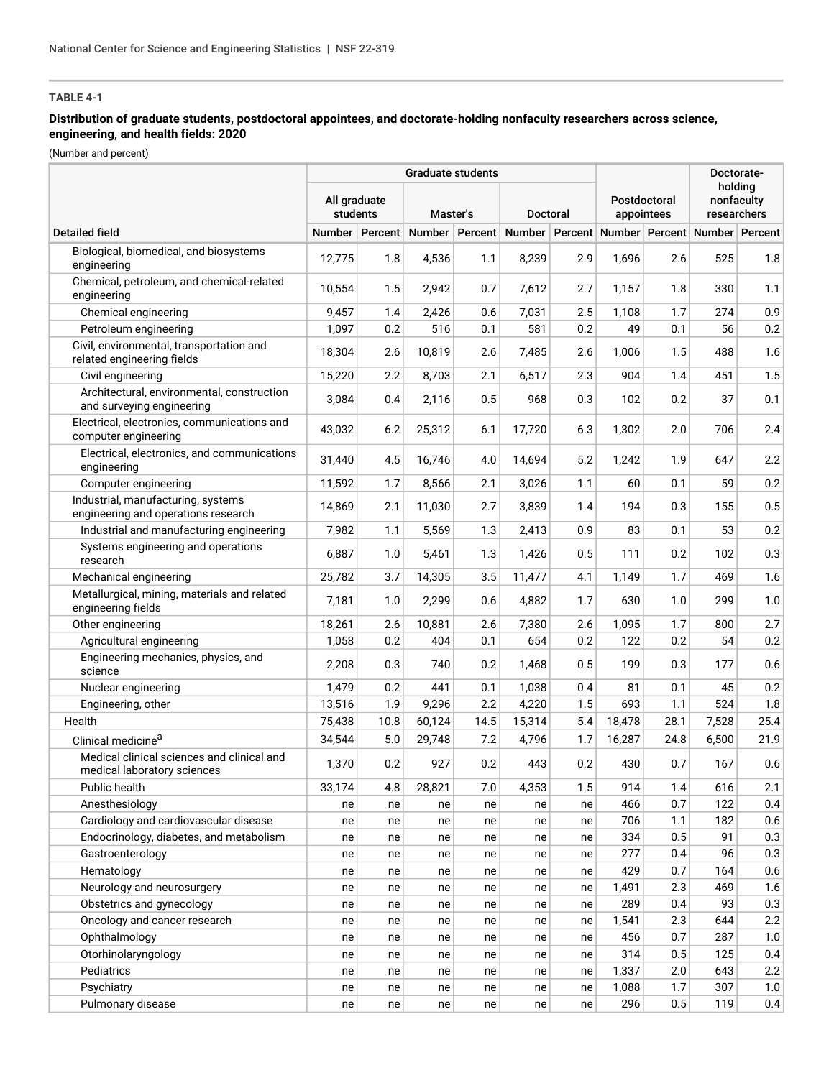## **Distribution of graduate students, postdoctoral appointees, and doctorate-holding nonfaculty researchers across science, engineering, and health fields: 2020**

(Number and percent)

|                                                                           | <b>Graduate students</b>             |      |        |                 |                                                                            |                            |        |                                      | Doctorate- |         |
|---------------------------------------------------------------------------|--------------------------------------|------|--------|-----------------|----------------------------------------------------------------------------|----------------------------|--------|--------------------------------------|------------|---------|
|                                                                           | All graduate<br>students<br>Master's |      |        | <b>Doctoral</b> |                                                                            | Postdoctoral<br>appointees |        | holdina<br>nonfaculty<br>researchers |            |         |
| <b>Detailed field</b>                                                     |                                      |      |        |                 | Number Percent Number Percent Number Percent Number Percent Number Percent |                            |        |                                      |            |         |
| Biological, biomedical, and biosystems<br>engineering                     | 12,775                               | 1.8  | 4,536  | 1.1             | 8.239                                                                      | 2.9                        | 1.696  | 2.6                                  | 525        | 1.8     |
| Chemical, petroleum, and chemical-related<br>engineering                  | 10,554                               | 1.5  | 2,942  | 0.7             | 7,612                                                                      | 2.7                        | 1,157  | 1.8                                  | 330        | 1.1     |
| Chemical engineering                                                      | 9,457                                | 1.4  | 2,426  | 0.6             | 7,031                                                                      | 2.5                        | 1,108  | 1.7                                  | 274        | 0.9     |
| Petroleum engineering                                                     | 1,097                                | 0.2  | 516    | 0.1             | 581                                                                        | 0.2                        | 49     | 0.1                                  | 56         | 0.2     |
| Civil, environmental, transportation and<br>related engineering fields    | 18,304                               | 2.6  | 10,819 | 2.6             | 7,485                                                                      | 2.6                        | 1,006  | 1.5                                  | 488        | 1.6     |
| Civil engineering                                                         | 15,220                               | 2.2  | 8,703  | 2.1             | 6,517                                                                      | 2.3                        | 904    | 1.4                                  | 451        | 1.5     |
| Architectural, environmental, construction<br>and surveying engineering   | 3,084                                | 0.4  | 2,116  | 0.5             | 968                                                                        | 0.3                        | 102    | 0.2                                  | 37         | 0.1     |
| Electrical, electronics, communications and<br>computer engineering       | 43,032                               | 6.2  | 25,312 | 6.1             | 17,720                                                                     | 6.3                        | 1,302  | 2.0                                  | 706        | 2.4     |
| Electrical, electronics, and communications<br>engineering                | 31,440                               | 4.5  | 16,746 | 4.0             | 14,694                                                                     | 5.2                        | 1,242  | 1.9                                  | 647        | $2.2\,$ |
| Computer engineering                                                      | 11,592                               | 1.7  | 8,566  | 2.1             | 3,026                                                                      | 1.1                        | 60     | 0.1                                  | 59         | 0.2     |
| Industrial, manufacturing, systems<br>engineering and operations research | 14,869                               | 2.1  | 11,030 | 2.7             | 3,839                                                                      | 1.4                        | 194    | 0.3                                  | 155        | 0.5     |
| Industrial and manufacturing engineering                                  | 7,982                                | 1.1  | 5,569  | 1.3             | 2,413                                                                      | 0.9                        | 83     | 0.1                                  | 53         | 0.2     |
| Systems engineering and operations<br>research                            | 6,887                                | 1.0  | 5,461  | 1.3             | 1,426                                                                      | 0.5                        | 111    | 0.2                                  | 102        | 0.3     |
| Mechanical engineering                                                    | 25,782                               | 3.7  | 14,305 | 3.5             | 11,477                                                                     | 4.1                        | 1,149  | 1.7                                  | 469        | 1.6     |
| Metallurgical, mining, materials and related<br>engineering fields        | 7,181                                | 1.0  | 2,299  | 0.6             | 4,882                                                                      | 1.7                        | 630    | 1.0                                  | 299        | 1.0     |
| Other engineering                                                         | 18,261                               | 2.6  | 10,881 | 2.6             | 7,380                                                                      | 2.6                        | 1,095  | 1.7                                  | 800        | 2.7     |
| Agricultural engineering                                                  | 1,058                                | 0.2  | 404    | 0.1             | 654                                                                        | 0.2                        | 122    | 0.2                                  | 54         | 0.2     |
| Engineering mechanics, physics, and<br>science                            | 2,208                                | 0.3  | 740    | 0.2             | 1,468                                                                      | 0.5                        | 199    | 0.3                                  | 177        | 0.6     |
| Nuclear engineering                                                       | 1,479                                | 0.2  | 441    | 0.1             | 1,038                                                                      | 0.4                        | 81     | 0.1                                  | 45         | 0.2     |
| Engineering, other                                                        | 13,516                               | 1.9  | 9,296  | 2.2             | 4,220                                                                      | 1.5                        | 693    | 1.1                                  | 524        | 1.8     |
| Health                                                                    | 75,438                               | 10.8 | 60,124 | 14.5            | 15,314                                                                     | 5.4                        | 18,478 | 28.1                                 | 7,528      | 25.4    |
| Clinical medicine <sup>a</sup>                                            | 34,544                               | 5.0  | 29,748 | 7.2             | 4,796                                                                      | 1.7                        | 16,287 | 24.8                                 | 6,500      | 21.9    |
| Medical clinical sciences and clinical and<br>medical laboratory sciences | 1,370                                | 0.2  | 927    | 0.2             | 443                                                                        | 0.2                        | 430    | 0.7                                  | 167        | 0.6     |
| Public health                                                             | 33,174                               | 4.8  | 28,821 | 7.0             | 4,353                                                                      | 1.5                        | 914    | 1.4                                  | 616        | 2.1     |
| Anesthesiology                                                            | ne                                   | ne   | ne     | ne              | ne                                                                         | ne                         | 466    | 0.7                                  | 122        | 0.4     |
| Cardiology and cardiovascular disease                                     | ne                                   | ne   | ne     | ne              | ne                                                                         | ne                         | 706    | 1.1                                  | 182        | 0.6     |
| Endocrinology, diabetes, and metabolism                                   | ne                                   | ne   | ne     | ne              | ne                                                                         | ne                         | 334    | 0.5                                  | 91         | 0.3     |
| Gastroenterology                                                          | ne                                   | ne   | ne     | ne              | ne                                                                         | ne                         | 277    | 0.4                                  | 96         | 0.3     |
| Hematology                                                                | ne                                   | ne   | ne     | ne              | ne                                                                         | ne                         | 429    | 0.7                                  | 164        | 0.6     |
| Neurology and neurosurgery                                                | ne                                   | ne   | ne     | ne              | ne                                                                         | ne                         | 1,491  | 2.3                                  | 469        | 1.6     |
| Obstetrics and gynecology                                                 | ne                                   | ne   | ne     | ne              | ne                                                                         | ne                         | 289    | 0.4                                  | 93         | 0.3     |
| Oncology and cancer research                                              | ne                                   | ne   | ne     | ne              | ne                                                                         | ne                         | 1,541  | 2.3                                  | 644        | 2.2     |
| Ophthalmology                                                             | ne                                   | ne   | ne     | ne              | ne                                                                         | ne                         | 456    | 0.7                                  | 287        | 1.0     |
| Otorhinolaryngology                                                       | ne                                   | ne   | ne     | ne              | ne                                                                         | ne                         | 314    | 0.5                                  | 125        | 0.4     |
| Pediatrics                                                                | ne                                   | ne   | ne     | ne              | ne                                                                         | ne                         | 1,337  | 2.0                                  | 643        | 2.2     |
| Psychiatry                                                                | ne                                   | ne   | ne     | ne              | ne                                                                         | ne                         | 1,088  | 1.7                                  | 307        | 1.0     |
| Pulmonary disease                                                         | ne                                   | ne   | ne     | ne              | ne                                                                         | ne                         | 296    | 0.5                                  | 119        | 0.4     |